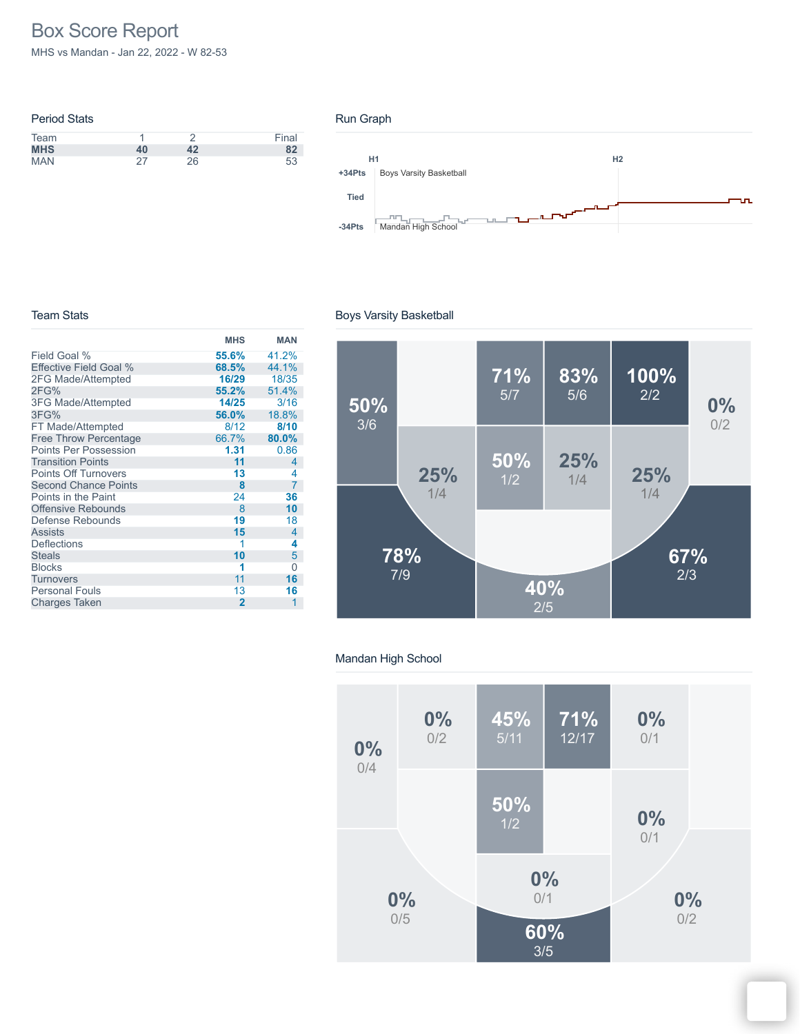# Box Score Report

MHS vs Mandan - Jan 22, 2022 - W 82-53

| <b>Period Stats</b> |    |    |       |
|---------------------|----|----|-------|
| Team                |    |    | Final |
| <b>MHS</b>          | 40 |    | 82    |
| <b>MAN</b>          | דר | 26 | 53    |

#### Run Graph



#### Team Stats

|                               | <b>MHS</b>     | <b>MAN</b> |
|-------------------------------|----------------|------------|
| Field Goal %                  | 55.6%          | 41.2%      |
| <b>Effective Field Goal %</b> | 68.5%          | 44.1%      |
| 2FG Made/Attempted            | 16/29          | 18/35      |
| 2FG%                          | 55.2%          | 51.4%      |
| <b>3FG Made/Attempted</b>     | 14/25          | 3/16       |
| 3FG%                          | 56.0%          | 18.8%      |
| FT Made/Attempted             | 8/12           | 8/10       |
| <b>Free Throw Percentage</b>  | 66.7%          | 80.0%      |
| <b>Points Per Possession</b>  | 1.31           | 0.86       |
| <b>Transition Points</b>      | 11             | 4          |
| <b>Points Off Turnovers</b>   | 13             | 4          |
| <b>Second Chance Points</b>   | 8              | 7          |
| Points in the Paint           | 24             | 36         |
| Offensive Rebounds            | 8              | 10         |
| Defense Rebounds              | 19             | 18         |
| <b>Assists</b>                | 15             | 4          |
| <b>Deflections</b>            |                | 4          |
| <b>Steals</b>                 | 10             | 5          |
| <b>Blocks</b>                 | 1              | 0          |
| <b>Turnovers</b>              | 11             | 16         |
| <b>Personal Fouls</b>         | 13             | 16         |
| <b>Charges Taken</b>          | $\overline{2}$ | 1          |

## Boys Varsity Basketball



## Mandan High School